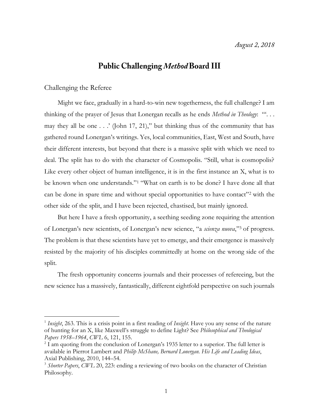# **Public Challenging Method Board III**

## Challenging the Referee

 $\overline{a}$ 

Might we face, gradually in a hard-to-win new togetherness, the full challenge? I am thinking of the prayer of Jesus that Lonergan recalls as he ends *Method in Theology*: "'. . . may they all be one  $\ldots$  (John 17, 21)," but thinking thus of the community that has gathered round Lonergan's writings. Yes, local communities, East, West and South, have their different interests, but beyond that there is a massive split with which we need to deal. The split has to do with the character of Cosmopolis. "Still, what is cosmopolis? Like every other object of human intelligence, it is in the first instance an X, what is to be known when one understands."<sup>1</sup> "What on earth is to be done? I have done all that can be done in spare time and without special opportunities to have contact"<sup>2</sup> with the other side of the split, and I have been rejected, chastised, but mainly ignored.

But here I have a fresh opportunity, a seething seeding zone requiring the attention of Lonergan's new scientists, of Lonergan's new science, "a *scienza nuova*,"<sup>3</sup> of progress. The problem is that these scientists have yet to emerge, and their emergence is massively resisted by the majority of his disciples committedly at home on the wrong side of the split.

The fresh opportunity concerns journals and their processes of refereeing, but the new science has a massively, fantastically, different eightfold perspective on such journals

<sup>1</sup> *Insight*, 263. This is a crisis point in a first reading of *Insight*. Have you any sense of the nature of hunting for an X, like Maxwell's struggle to define Light? See *Philosophical and Theological Papers 1958–1964*, *CWL* 6, 121, 155.

<sup>&</sup>lt;sup>2</sup> I am quoting from the conclusion of Lonergan's 1935 letter to a superior. The full letter is available in Pierrot Lambert and *Philip McShane, Bernard Lonergan. His Life and Leading Ideas*, Axial Publishing, 2010, 144–54.

<sup>&</sup>lt;sup>3</sup> Shorter Papers, CWL 20, 223: ending a reviewing of two books on the character of Christian Philosophy.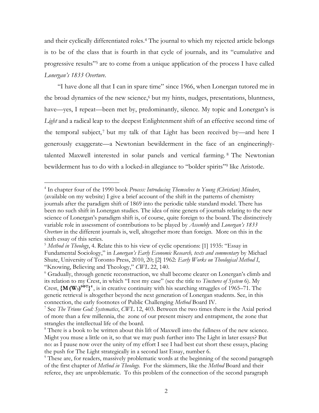and their cyclically differentiated roles.<sup>4</sup> The journal to which my rejected article belongs is to be of the class that is fourth in that cycle of journals, and its "cumulative and progressive results"<sup>5</sup> are to come from a unique application of the process I have called *Lonergan's 1833 Overture*.

"I have done all that I can in spare time" since 1966, when Lonergan tutored me in the broad dynamics of the new science,<sup>6</sup> but my hints, nudges, presentations, bluntness, have—yes, I repeat—been met by, predominantly, silence. My topic and Lonergan's is *Light* and a radical leap to the deepest Enlightenment shift of an effective second time of the temporal subject,<sup>7</sup> but my talk of that Light has been received by—and here I generously exaggerate—a Newtonian bewilderment in the face of an engineeringlytalented Maxwell interested in solar panels and vertical farming. <sup>8</sup> The Newtonian bewilderment has to do with a locked-in allegiance to "bolder spirits"<sup>9</sup> like Aristotle.

<sup>4</sup> In chapter four of the 1990 book *Process: Introducing Themselves to Young (Christian) Minders*, (available on my website) I give a brief account of the shift in the patterns of chemistry journals after the paradigm shift of 1869 into the periodic table standard model. There has been no such shift in Lonergan studies. The idea of nine genera of journals relating to the new science of Lonergan's paradigm shift is, of course, quite foreign to the board. The distinctively variable role in assessment of contributions to be played by *Assembly* and *Lonergan's 1833 Overture* in the different journals is, well, altogether more than foreign. More on this in the sixth essay of this series.

<sup>5</sup> *Method in Theology*, 4. Relate this to his view of cyclic operations: [1] 1935: "Essay in Fundamental Sociology," in *Lonergan's Early Economic Research, texts and commentary* by Michael Shute, University of Toronto Press, 2010, 20; [2] 1962: *Early Works on Theological Method I*, "Knowing, Believing and Theology," *CWL* 22, 140.

<sup>&</sup>lt;sup>6</sup> Gradually, through genetic reconstruction, we shall become clearer on Lonergan's climb and its relation to my Crest, in which "I rest my case" (see the title to *Tinctures of System* 6). My Crest,  $\{M(W_3)^{\theta \Phi T}\}^4$ , is in creative continuity with his searching struggles of 1965–71. The genetic retrieval is altogether beyond the next generation of Lonergan students. See, in this connection, the early footnotes of Public Challenging *Method* Board IV.

<sup>7</sup> See *The Triune God: Systematics*, *CWL* 12, 403. Between the two times there is the Axial period of more than a few millennia, the zone of our present misery and entrapment, the zone that strangles the intellectual life of the board.

<sup>&</sup>lt;sup>8</sup> There is a book to be written about this lift of Maxwell into the fullness of the new science. Might you muse a little on it, so that we may push further into The Light in later essays? But no: as I pause now over the unity of my effort I see I had best cut short these essays, placing the push for The Light strategically in a second last Essay, number 6.

<sup>&</sup>lt;sup>9</sup> These are, for readers, massively problematic words at the beginning of the second paragraph of the first chapter of *Method in Theology*. For the skimmers, like the *Method* Board and their referee, they are unproblematic. To this problem of the connection of the second paragraph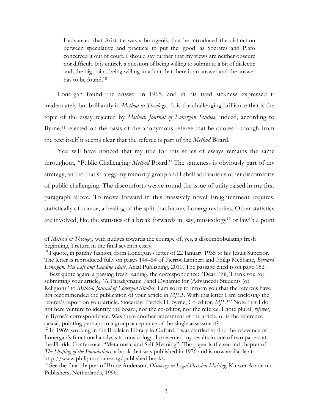I advanced that Aristotle was a bourgeois, that he introduced the distinction between speculative and practical to put the 'good' as Socrates and Plato conceived it out of court. I should say further that my views are neither obscure nor difficult. It is entirely a question of being willing to submit to a bit of dialectic and, the big point, being willing to admit that there is an answer and the answer has to be found.<sup>10</sup>

Lonergan found the answer in 1965, and in his tired sickness expressed it inadequately but brilliantly in *Method in Theology*. It is the challenging brilliance that is the topic of the essay rejected by *Method: Journal of Lonergan Studies*, indeed, according to Byrne,<sup>11</sup> rejected on the basis of the anonymous referee that he quotes—though from the text itself it seems clear that the referee is part of the *Method* Board.

You will have noticed that my title for this series of essays remains the same throughout, "Public Challenging *Method* Board." The sameness is obviously part of my strategy, and to that strategy my minority group and I shall add various other discomforts of public challenging. The discomforts weave round the issue of unity raised in my first paragraph above. To move forward in this massively novel Enlightenment requires, statistically of course, a healing of the split that haunts Lonergan studies. Other statistics are involved, like the statistics of a break forwards in, say, musicology<sup>12</sup> or law<sup>13</sup>: a point

of *Method in Theology*, with nudges towards the courage of, yes, a discombobulating fresh beginning, I return in the final seventh essay.

 $^{10}$  I quote, in patchy fashion, from Lonergan's letter of 22 January 1935 to his Jesuit Superior. The letter is reproduced fully on pages 144–54 of Pierrot Lambert and Philip McShane, *Bernard Lonergan. His Life and Leading Ideas*, Axial Publishing, 2010. The passage cited is on page 152.  $11$  Best quote again, a passing fresh reading, the correspondence: "Dear Phil, Thank you for submitting your article, "A Paradigmatic Panel Dynamic for (Advanced) Students (of Religion)" to *Method: Journal of Lonergan Studies*. I am sorry to inform you that the referees have not recommended the publication of your article in *MJLS*. With this letter I am enclosing the referee's report on your article. Sincerely, Patrick H. Byrne, Co-editor, *MJLS*" Note that I do not here venture to identify the board, nor the co-editor, nor the referee. I note plural, *referees*, in Byrne's correspondence. Was there another assessment of the article, or is the reference casual, pointing perhaps to a group acceptance of the single assessment?

 $12$  In 1969, working in the Bodleian Library in Oxford, I was startled to find the relevance of Lonergan's functional analysis to musicology. I presented my results in one of two papers at the Florida Conference: "Metamusic and Self-Meaning". The paper is the second chapter of *The Shaping of the Foundations*, a book that was published in 1976 and is now available at: http://www.philipmcshane.org/published-books.

<sup>13</sup> See the final chapter of Bruce Anderson, *Discovery in Legal Decision-Making*, Kluwer Academic Publishers, Netherlands, 1996.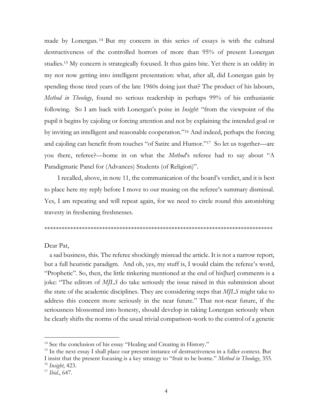made by Lonergan. <sup>14</sup> But my concern in this series of essays is with the cultural destructiveness of the controlled horrors of more than 95% of present Lonergan studies.<sup>15</sup> My concern is strategically focused. It thus gains bite. Yet there is an oddity in my not now getting into intelligent presentation: what, after all, did Lonergan gain by spending those tired years of the late 1960s doing just that? The product of his labours, *Method in Theology*, found no serious readership in perhaps 99% of his enthusiastic following. So I am back with Lonergan's poise in *Insight*: "from the viewpoint of the pupil it begins by cajoling or forcing attention and not by explaining the intended goal or by inviting an intelligent and reasonable cooperation."<sup>16</sup> And indeed, perhaps the forcing and cajoling can benefit from touches "of Satire and Humor."<sup>17</sup> So let us together—are you there, referee?—home in on what the *Method*'s referee had to say about "A Paradigmatic Panel for (Advances) Students (of Religion)".

I recalled, above, in note 11, the communication of the board's verdict, and it is best to place here my reply before I move to our musing on the referee's summary dismissal. Yes, I am repeating and will repeat again, for we need to circle round this astonishing travesty in freshening freshnesses.

#### \*\*\*\*\*\*\*\*\*\*\*\*\*\*\*\*\*\*\*\*\*\*\*\*\*\*\*\*\*\*\*\*\*\*\*\*\*\*\*\*\*\*\*\*\*\*\*\*\*\*\*\*\*\*\*\*\*\*\*\*\*\*\*\*\*\*\*\*\*\*\*\*\*\*\*\*\*\*\*

Dear Pat,

 a sad business, this. The referee shockingly misread the article. It is not a narrow report, but a full heuristic paradigm. And oh, yes, my stuff is, I would claim the referee's word, "Prophetic". So, then, the little tinkering mentioned at the end of his[her] comments is a joke: "The editors of *MJLS* do take seriously the issue raised in this submission about the state of the academic disciplines. They are considering steps that *MJLS* might take to address this concern more seriously in the near future." That not-near future, if the seriousness blossomed into honesty, should develop in taking Lonergan seriously when he clearly shifts the norms of the usual trivial comparison-work to the control of a genetic

<sup>&</sup>lt;sup>14</sup> See the conclusion of his essay "Healing and Creating in History."

<sup>&</sup>lt;sup>15</sup> In the next essay I shall place our present instance of destructiveness in a fuller context. But I insist that the present focusing is a key strategy to "fruit to be borne." *Method in Theology*, 355. <sup>16</sup> *Insight*, 423.

<sup>17</sup> *Ibid*., 647.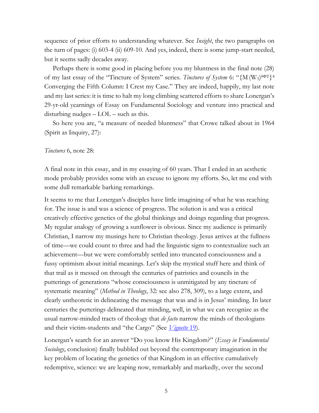sequence of prior efforts to understanding whatever. See *Insight*, the two paragraphs on the turn of pages: (i) 603-4 (ii) 609-10. And yes, indeed, there is some jump-start needed, but it seems sadly decades away.

 Perhaps there is some good in placing before you my bluntness in the final note (28) of my last essay of the "Tincture of System" series. *Tinctures of System* 6: "{M (W<sub>3</sub>)<sup>0ΦT}4</sup> Converging the Fifth Column: I Crest my Case." They are indeed, happily, my last note and my last series: it is time to halt my long climbing scattered efforts to share Lonergan's 29-yr-old yearnings of Essay on Fundamental Sociology and venture into practical and disturbing nudges  $-$  LOL  $-$  such as this.

 So here you are, "a measure of needed bluntness" that Crowe talked about in 1964 (Spirit as Inquiry, 27):

## *Tinctures* 6, note 28:

A final note in this essay, and in my essaying of 60 years. That I ended in an aesthetic mode probably provides some with an excuse to ignore my efforts. So, let me end with some dull remarkable barking remarkings.

It seems to me that Lonergan's disciples have little imagining of what he was reaching for. The issue is and was a science of progress. The solution is and was a critical creatively effective genetics of the global thinkings and doings regarding that progress. My regular analogy of growing a sunflower is obvious. Since my audience is primarily Christian, I narrow my musings here to Christian theology. Jesus arrives at the fullness of time—we could count to three and had the linguistic signs to contextualize such an achievement—but we were comfortably settled into truncated consciousness and a fussy optimism about initial meanings. Let's skip the mystical stuff here and think of that trail as it messed on through the centuries of patristics and councils in the putterings of generations "whose consciousness is unmitigated by any tincture of systematic meaning" (*Method in Theology*, 32: see also 278, 309), to a large extent, and clearly untheoretic in delineating the message that was and is in Jesus' minding. In later centuries the putterings delineated that minding, well, in what we can recognize as the usual narrow-minded tracts of theology that *de facto* narrow the minds of theologians and their victim-students and "the Cargo" (See *[Vignette](http://www.philipmcshane.org/wp-content/themes/philip/online_publications/series/vignettes/Vignette%2019.pdf)* 19).

Lonergan's search for an answer "Do you know His Kingdom?" (*Essay in Fundamental Sociology*, conclusion) finally bubbled out beyond the contemporary imagination in the key problem of locating the genetics of that Kingdom in an effective cumulatively redemptive, science: we are leaping now, remarkably and markedly, over the second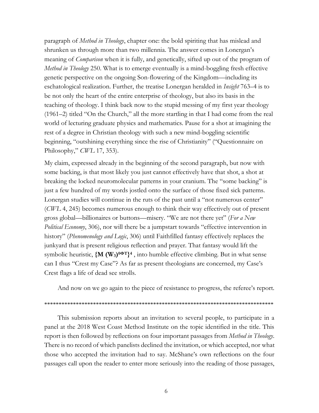paragraph of *Method in Theology*, chapter one: the bold spiriting that has mislead and shrunken us through more than two millennia. The answer comes in Lonergan's meaning of *Comparison* when it is fully, and genetically, sifted up out of the program of *Method in Theology* 250. What is to emerge eventually is a mind-boggling fresh effective genetic perspective on the ongoing Son-flowering of the Kingdom—including its eschatological realization. Further, the treatise Lonergan heralded in *Insight* 763–4 is to be not only the heart of the entire enterprise of theology, but also its basis in the teaching of theology. I think back now to the stupid messing of my first year theology (1961–2) titled "On the Church," all the more startling in that I had come from the real world of lecturing graduate physics and mathematics. Pause for a shot at imagining the rest of a degree in Christian theology with such a new mind-boggling scientific beginning, "outshining everything since the rise of Christianity" ("Questionnaire on Philosophy," *CWL* 17, 353).

My claim, expressed already in the beginning of the second paragraph, but now with some backing, is that most likely you just cannot effectively have that shot, a shot at breaking the locked neuromolecular patterns in your cranium. The "some backing" is just a few hundred of my words jostled onto the surface of those fixed sick patterns. Lonergan studies will continue in the ruts of the past until a "not numerous center" (*CWL* 4, 245) becomes numerous enough to think their way effectively out of present gross global—billionaires or buttons—misery. "We are not there yet" (*For a New Political Economy*, 306), nor will there be a jumpstart towards "effective intervention in history" (*Phenomenology and Logic*, 306) until Faithfilled fantasy effectively replaces the junkyard that is present religious reflection and prayer. That fantasy would lift the symbolic heuristic, **{M (W3) θΦT} 4** , into humble effective climbing. But in what sense can I thus "Crest my Case"? As far as present theologians are concerned, my Case's Crest flags a life of dead see strolls.

And now on we go again to the piece of resistance to progress, the referee's report.

#### \*\*\*\*\*\*\*\*\*\*\*\*\*\*\*\*\*\*\*\*\*\*\*\*\*\*\*\*\*\*\*\*\*\*\*\*\*\*\*\*\*\*\*\*\*\*\*\*\*\*\*\*\*\*\*\*\*\*\*\*\*\*\*\*\*\*\*\*\*\*\*\*\*\*\*\*\*\*\*\*

This submission reports about an invitation to several people, to participate in a panel at the 2018 West Coast Method Institute on the topic identified in the title. This report is then followed by reflections on four important passages from *Method in Theology*. There is no record of which panelists declined the invitation, or which accepted, nor what those who accepted the invitation had to say. McShane's own reflections on the four passages call upon the reader to enter more seriously into the reading of those passages,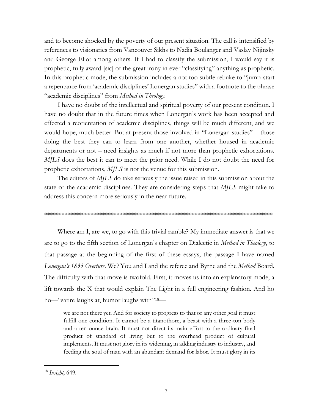and to become shocked by the poverty of our present situation. The call is intensified by references to visionaries from Vancouver Sikhs to Nadia Boulanger and Vaslav Nijinsky and George Eliot among others. If I had to classify the submission, I would say it is prophetic, fully award [sic] of the great irony in ever "classifying" anything as prophetic. In this prophetic mode, the submission includes a not too subtle rebuke to "jump-start a repentance from 'academic disciplines' Lonergan studies" with a footnote to the phrase "academic disciplines" from *Method in Theology*.

I have no doubt of the intellectual and spiritual poverty of our present condition. I have no doubt that in the future times when Lonergan's work has been accepted and effected a reorientation of academic disciplines, things will be much different, and we would hope, much better. But at present those involved in "Lonergan studies" – those doing the best they can to learn from one another, whether housed in academic departments or not – need insights as much if not more than prophetic exhortations. *MJLS* does the best it can to meet the prior need. While I do not doubt the need for prophetic exhortations, *MJLS* is not the venue for this submission.

The editors of *MJLS* do take seriously the issue raised in this submission about the state of the academic disciplines. They are considering steps that *MJLS* might take to address this concern more seriously in the near future.

### \*\*\*\*\*\*\*\*\*\*\*\*\*\*\*\*\*\*\*\*\*\*\*\*\*\*\*\*\*\*\*\*\*\*\*\*\*\*\*\*\*\*\*\*\*\*\*\*\*\*\*\*\*\*\*\*\*\*\*\*\*\*\*\*\*\*\*\*\*\*\*\*\*\*\*\*\*\*\*

Where am I, are we, to go with this trivial ramble? My immediate answer is that we are to go to the fifth section of Lonergan's chapter on Dialectic in *Method in Theology*, to that passage at the beginning of the first of these essays, the passage I have named *Lonergan's 1833 Overture*. We? You and I and the referee and Byrne and the *Method* Board. The difficulty with that move is twofold. First, it moves us into an explanatory mode, a lift towards the X that would explain The Light in a full engineering fashion. And ho ho—"satire laughs at, humor laughs with"18—

we are not there yet. And for society to progress to that or any other goal it must fulfill one condition. It cannot be a titanothore, a beast with a three-ton body and a ten-ounce brain. It must not direct its main effort to the ordinary final product of standard of living but to the overhead product of cultural implements. It must not glory in its widening, in adding industry to industry, and feeding the soul of man with an abundant demand for labor. It must glory in its

<sup>18</sup> *Insight*, 649.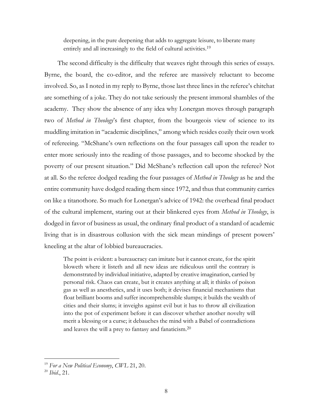deepening, in the pure deepening that adds to aggregate leisure, to liberate many entirely and all increasingly to the field of cultural activities.<sup>19</sup>

The second difficulty is the difficulty that weaves right through this series of essays. Byrne, the board, the co-editor, and the referee are massively reluctant to become involved. So, as I noted in my reply to Byrne, those last three lines in the referee's chitchat are something of a joke. They do not take seriously the present immoral shambles of the academy. They show the absence of any idea why Lonergan moves through paragraph two of *Method in Theology*'s first chapter, from the bourgeois view of science to its muddling imitation in "academic disciplines," among which resides cozily their own work of refereeing. "McShane's own reflections on the four passages call upon the reader to enter more seriously into the reading of those passages, and to become shocked by the poverty of our present situation." Did McShane's reflection call upon the referee? Not at all. So the referee dodged reading the four passages of *Method in Theology* as he and the entire community have dodged reading them since 1972, and thus that community carries on like a titanothore. So much for Lonergan's advice of 1942: the overhead final product of the cultural implement, staring out at their blinkered eyes from *Method in Theology*, is dodged in favor of business as usual, the ordinary final product of a standard of academic living that is in disastrous collusion with the sick mean mindings of present powers' kneeling at the altar of lobbied bureaucracies.

The point is evident: a bureaucracy can imitate but it cannot create, for the spirit bloweth where it listeth and all new ideas are ridiculous until the contrary is demonstrated by individual initiative, adapted by creative imagination, carried by personal risk. Chaos can create, but it creates anything at all; it thinks of poison gas as well as anesthetics, and it uses both; it devises financial mechanisms that float brilliant booms and suffer incomprehensible slumps; it builds the wealth of cities and their slums; it inveighs against evil but it has to throw all civilization into the pot of experiment before it can discover whether another novelty will merit a blessing or a curse; it debauches the mind with a Babel of contradictions and leaves the will a prey to fantasy and fanaticism.<sup>20</sup>

<sup>19</sup> *For a New Political Economy*, *CWL* 21, 20.

<sup>20</sup> *Ibid*., 21.